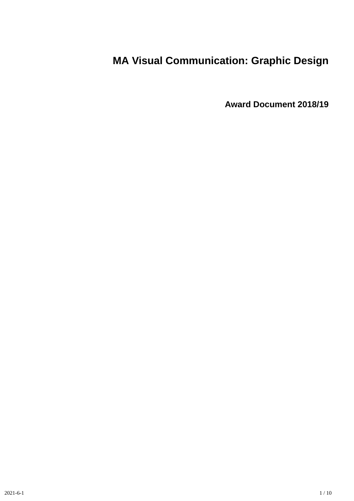# **MA Visual Communication: Graphic Design**

**Award Document 2018/19**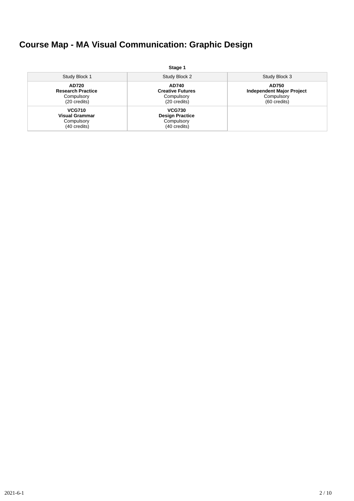# **Course Map - MA Visual Communication: Graphic Design**

|                                                                      | Stage 1                                                               |                                                                         |
|----------------------------------------------------------------------|-----------------------------------------------------------------------|-------------------------------------------------------------------------|
| Study Block 1                                                        | Study Block 2                                                         | Study Block 3                                                           |
| AD720<br><b>Research Practice</b><br>Compulsory<br>(20 credits)      | AD740<br><b>Creative Futures</b><br>Compulsory<br>(20 credits)        | AD750<br><b>Independent Major Project</b><br>Compulsory<br>(60 credits) |
| <b>VCG710</b><br><b>Visual Grammar</b><br>Compulsory<br>(40 credits) | <b>VCG730</b><br><b>Design Practice</b><br>Compulsory<br>(40 credits) |                                                                         |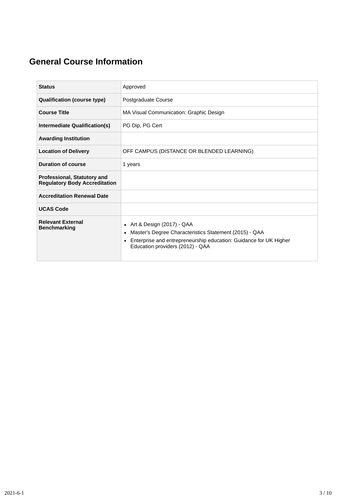# **General Course Information**

| <b>Status</b>                                                              | Approved                                                                                                                                                                                                                    |
|----------------------------------------------------------------------------|-----------------------------------------------------------------------------------------------------------------------------------------------------------------------------------------------------------------------------|
| <b>Qualification (course type)</b>                                         | Postgraduate Course                                                                                                                                                                                                         |
| <b>Course Title</b>                                                        | MA Visual Communication: Graphic Design                                                                                                                                                                                     |
| Intermediate Qualification(s)                                              | PG Dip, PG Cert                                                                                                                                                                                                             |
| <b>Awarding Institution</b>                                                |                                                                                                                                                                                                                             |
| <b>Location of Delivery</b>                                                | OFF CAMPUS (DISTANCE OR BLENDED LEARNING)                                                                                                                                                                                   |
| <b>Duration of course</b>                                                  | 1 years                                                                                                                                                                                                                     |
| <b>Professional, Statutory and</b><br><b>Regulatory Body Accreditation</b> |                                                                                                                                                                                                                             |
| <b>Accreditation Renewal Date</b>                                          |                                                                                                                                                                                                                             |
| <b>UCAS Code</b>                                                           |                                                                                                                                                                                                                             |
| <b>Relevant External</b><br><b>Benchmarking</b>                            | Art & Design (2017) - QAA<br>$\bullet$<br>Master's Degree Characteristics Statement (2015) - QAA<br>٠<br>Enterprise and entrepreneurship education: Guidance for UK Higher<br>$\bullet$<br>Education providers (2012) - QAA |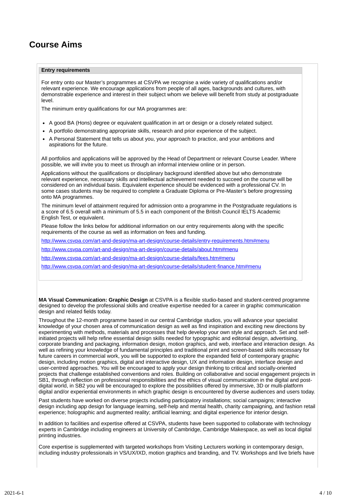# **Course Aims**

#### **Entry requirements**

For entry onto our Master's programmes at CSVPA we recognise a wide variety of qualifications and/or relevant experience. We encourage applications from people of all ages, backgrounds and cultures, with demonstrable experience and interest in their subject whom we believe will benefit from study at postgraduate level.

The minimum entry qualifications for our MA programmes are:

- A good BA (Hons) degree or equivalent qualification in art or design or a closely related subject.
- A portfolio demonstrating appropriate skills, research and prior experience of the subject.
- A Personal Statement that tells us about you, your approach to practice, and your ambitions and aspirations for the future.

All portfolios and applications will be approved by the Head of Department or relevant Course Leader. Where possible, we will invite you to meet us through an informal interview online or in person.

Applications without the qualifications or disciplinary background identified above but who demonstrate relevant experience, necessary skills and intellectual achievement needed to succeed on the course will be considered on an individual basis. Equivalent experience should be evidenced with a professional CV. In some cases students may be required to complete a Graduate Diploma or Pre-Master's before progressing onto MA programmes.

The minimum level of attainment required for admission onto a programme in the Postgraduate regulations is a score of 6.5 overall with a minimum of 5.5 in each component of the British Council IELTS Academic English Test, or equivalent.

Please follow the links below for additional information on our entry requirements along with the specific requirements of the course as well as information on fees and funding.

<http://www.csvpa.com/art-and-design/ma-art-design/course-details/entry-requirements.htm#menu>

<http://www.csvpa.com/art-and-design/ma-art-design/course-details/about.htm#menu>

<http://www.csvpa.com/art-and-design/ma-art-design/course-details/fees.htm#menu>

<http://www.csvpa.com/art-and-design/ma-art-design/course-details/student-finance.htm#menu>

**MA Visual Communication: Graphic Design** at CSVPA is a flexible studio-based and student-centred programme designed to develop the professional skills and creative expertise needed for a career in graphic communication design and related fields today.

Throughout the 12-month programme based in our central Cambridge studios, you will advance your specialist knowledge of your chosen area of communication design as well as find inspiration and exciting new directions by experimenting with methods, materials and processes that help develop your own style and approach. Set and selfinitiated projects will help refine essential design skills needed for typographic and editorial design, advertising, corporate branding and packaging, information design, motion graphics, and web, interface and interaction design. As well as refining your knowledge of fundamental principles and traditional print and screen-based skills necessary for future careers in commercial work, you will be supported to explore the expanded field of contemporary graphic design, including motion graphics, digital and interactive design, UX and information design, interface design and user-centred approaches. You will be encouraged to apply your design thinking to critical and socially-oriented projects that challenge established conventions and roles. Building on collaborative and social engagement projects in SB1, through reflection on professional responsibilities and the ethics of visual communication in the digital and postdigital world, in SB2 you will be encouraged to explore the possibilities offered by immersive, 3D or multi-platform digital and/or experiential environments in which graphic design is encountered by diverse audiences and users today.

Past students have worked on diverse projects including participatory installations; social campaigns; interactive design including app design for language learning, self-help and mental health, charity campaigning, and fashion retail experience; holographic and augmented reality; artificial learning; and digital experience for interior design.

In addition to facilities and expertise offered at CSVPA, students have been supported to collaborate with technology experts in Cambridge including engineers at University of Cambridge, Cambridge Makespace, as well as local digital printing industries.

Core expertise is supplemented with targeted workshops from Visiting Lecturers working in contemporary design, including industry professionals in VS/UX/IXD, motion graphics and branding, and TV. Workshops and live briefs have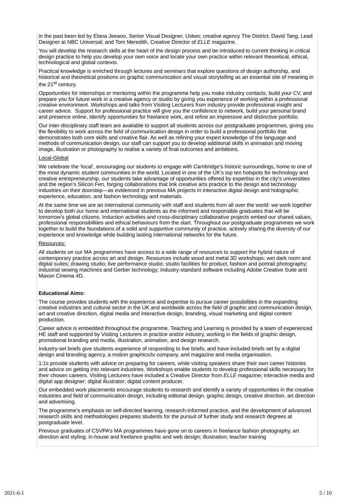in the past been led by Elana Jeeaoo, Senior Visual Designer, Ustwo; creative agency The District; David Tang, Lead Designer at NBC Universal; and Tom Meredith, Creative Director of *ELLE* magazine.

You will develop the research skills at the heart of the design process and be introduced to current thinking in critical design practice to help you develop your own voice and locate your own practice within relevant theoretical, ethical, technological and global contexts.

Practical knowledge is enriched through lectures and seminars that explore questions of design authorship, and historical and theoretical positions on graphic communication and visual storytelling as an essential site of meaning in the 21<sup>st</sup> century.

Opportunities for internships or mentoring within the programme help you make industry contacts, build your CV, and prepare you for future work in a creative agency or studio by giving you experience of working within a professional creative environment. Workshops and talks from Visiting Lecturers from industry provide professional insight and career advice. Support for professional practice will give you the confidence to network, build your personal brand and presence online, identify opportunities for freelance work, and refine an impressive and distinctive portfolio.

Our inter-disciplinary staff team are available to support all students across our postgraduate programmes, giving you the flexibility to work across the field of communication design in order to build a professional portfolio that demonstrates both core skills and creative flair. As well as refining your expert knowledge of the language and methods of communication design, our staff can support you to develop additional skills in animation and moving image, illustration or photography to realise a variety of final outcomes and ambitions.

#### Local-Global

We celebrate the 'local', encouraging our students to engage with Cambridge's historic surroundings, home to one of the most dynamic student communities in the world. Located in one of the UK's top ten hotspots for technology and creative entrepreneurship, our students take advantage of opportunities offered by expertise in the city's universities and the region's Silicon Fen, forging collaborations that link creative arts practice to the design and technology industries on their doorstep—as evidenced in previous MA projects in interactive digital design and holographic experience, education, and fashion technology and materials.

At the same time we are an international community with staff and students from all over the world: we work together to develop both our home and international students as the informed and responsible graduates that will be tomorrow's global citizens. Induction activities and cross-disciplinary collaborative projects embed our shared values, professional responsibilities and ethical behaviours from the start. Throughout our postgraduate programmes we work together to build the foundations of a solid and supportive community of practice, actively sharing the diversity of our experience and knowledge while building lasting international networks for the future.

#### Resources:

All students on our MA programmes have access to a wide range of resources to support the hybrid nature of contemporary practice across art and design. Resources include wood and metal 3D workshops; wet dark room and digital suites; drawing studio; live performance studio; studio facilities for product, fashion and portrait photography; industrial sewing machines and Gerber technology; industry-standard software including Adobe Creative Suite and Maxon Cinema 4D.

#### **Educational Aims:**

The course provides students with the experience and expertise to pursue career possibilities in the expanding creative industries and cultural sector in the UK and worldwide across the field of graphic and communication design, art and creative direction, digital media and interactive design, branding, visual marketing and digital content production.

Career advice is embedded throughout the programme. Teaching and Learning is provided by a team of experienced HE staff and supported by Visiting Lecturers in practice and/or industry, working in the fields of graphic design, promotional branding and media, illustration, animation, and design research.

Industry-set briefs give students experience of responding to live briefs, and have included briefs set by a digital design and branding agency, a motion graphics/tv company, and magazine and media organisation.

1:1s provide students with advice on preparing for careers, while visiting speakers share their own career histories and advice on getting into relevant industries. Workshops enable students to develop professional skills necessary for their chosen careers. Visiting Lecturers have included a Creative Director from *ELLE* magazine; interactive media and digital app designer; digital illustrator; digital content producer.

Our embedded work placements encourage students to research and identify a variety of opportunities in the creative industries and field of communication design, including editorial design, graphic design, creative direction, art direction and advertising.

The programme's emphasis on self-directed learning, research-informed practice, and the development of advanced research skills and methodologies prepares students for the pursuit of further study and research degrees at postgraduate level.

Previous graduates of CSVPA's MA programmes have gone on to careers in freelance fashion photography, art direction and styling; in-house and freelance graphic and web design; illustration; teacher training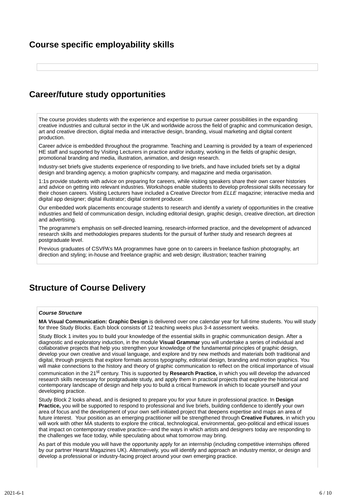### **Course specific employability skills**

### **Career/future study opportunities**

The course provides students with the experience and expertise to pursue career possibilities in the expanding creative industries and cultural sector in the UK and worldwide across the field of graphic and communication design, art and creative direction, digital media and interactive design, branding, visual marketing and digital content production.

Career advice is embedded throughout the programme. Teaching and Learning is provided by a team of experienced HE staff and supported by Visiting Lecturers in practice and/or industry, working in the fields of graphic design, promotional branding and media, illustration, animation, and design research.

Industry-set briefs give students experience of responding to live briefs, and have included briefs set by a digital design and branding agency, a motion graphics/tv company, and magazine and media organisation.

1:1s provide students with advice on preparing for careers, while visiting speakers share their own career histories and advice on getting into relevant industries. Workshops enable students to develop professional skills necessary for their chosen careers. Visiting Lecturers have included a Creative Director from *ELLE* magazine; interactive media and digital app designer; digital illustrator; digital content producer.

Our embedded work placements encourage students to research and identify a variety of opportunities in the creative industries and field of communication design, including editorial design, graphic design, creative direction, art direction and advertising.

The programme's emphasis on self-directed learning, research-informed practice, and the development of advanced research skills and methodologies prepares students for the pursuit of further study and research degrees at postgraduate level.

Previous graduates of CSVPA's MA programmes have gone on to careers in freelance fashion photography, art direction and styling; in-house and freelance graphic and web design; illustration; teacher training

# **Structure of Course Delivery**

#### *Course Structure*

**MA Visual Communication: Graphic Design** is delivered over one calendar year for full-time students. You will study for three Study Blocks. Each block consists of 12 teaching weeks plus 3-4 assessment weeks.

Study Block 1 invites you to build your knowledge of the essential skills in graphic communication design. After a diagnostic and exploratory induction, in the module **Visual Grammar** you will undertake a series of individual and collaborative projects that help you strengthen your knowledge of the fundamental principles of graphic design, develop your own creative and visual language, and explore and try new methods and materials both traditional and digital, through projects that explore formats across typography, editorial design, branding and motion graphics. You will make connections to the history and theory of graphic communication to reflect on the critical importance of visual communication in the 21<sup>st</sup> century. This is supported by **Research Practice,** in which you will develop the advanced research skills necessary for postgraduate study, and apply them in practical projects that explore the historical and contemporary landscape of design and help you to build a critical framework in which to locate yourself and your developing practice.

Study Block 2 looks ahead, and is designed to prepare you for your future in professional practice. In **Design Practice,** you will be supported to respond to professional and live briefs, building confidence to identify your own area of focus and the development of your own self-initiated project that deepens expertise and maps an area of future interest. Your position as an emerging practitioner will be strengthened through **Creative Futures**, in which you will work with other MA students to explore the critical, technological, environmental, geo-political and ethical issues that impact on contemporary creative practice—and the ways in which artists and designers today are responding to the challenges we face today, while speculating about what tomorrow may bring.

As part of this module you will have the opportunity apply for an internship (including competitive internships offered by our partner Hearst Magazines UK). Alternatively, you will identify and approach an industry mentor, or design and develop a professional or industry-facing project around your own emerging practice.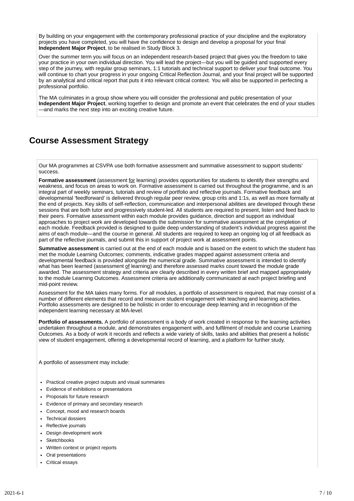By building on your engagement with the contemporary professional practice of your discipline and the exploratory projects you have completed, you will have the confidence to design and develop a proposal for your final **Independent Major Project**, to be realised in Study Block 3.

Over the summer term you will focus on an independent research-based project that gives you the freedom to take your practice in your own individual direction. You will lead the project—but you will be guided and supported every step of the journey, with regular group seminars, 1:1 tutorials and technical support to deliver your final outcome. You will continue to chart your progress in your ongoing Critical Reflection Journal, and your final project will be supported by an analytical and critical report that puts it into relevant critical context. You will also be supported in perfecting a professional portfolio.

The MA culminates in a group show where you will consider the professional and public presentation of your **Independent Major Project**, working together to design and promote an event that celebrates the end of your studies —and marks the next step into an exciting creative future.

### **Course Assessment Strategy**

Our MA programmes at CSVPA use both formative assessment and summative assessment to support students' success.

**Formative assessment** (assessment for learning) provides opportunities for students to identify their strengths and weakness, and focus on areas to work on. Formative assessment is carried out throughout the programme, and is an integral part of weekly seminars, tutorials and review of portfolio and reflective journals. Formative feedback and developmental 'feedforward' is delivered through regular peer review, group crits and 1:1s, as well as more formally at the end of projects. Key skills of self-reflection, communication and interpersonal abilities are developed through these sessions that are both tutor and progressively student-led. All students are required to present, listen and feed back to their peers. Formative assessment within each module provides guidance, direction and support as individual approaches to project work are developed towards the submission for summative assessment at the completion of each module. Feedback provided is designed to guide deep understanding of student's individual progress against the aims of each module—and the course in general. All students are required to keep an ongoing log of all feedback as part of the reflective journals, and submit this in support of project work at assessment points.

**Summative assessment** is carried out at the end of each module and is based on the extent to which the student has met the module Learning Outcomes; comments, indicative grades mapped against assessment criteria and developmental feedback is provided alongside the numerical grade. Summative assessment is intended to identify what has been learned (assessment of learning) and therefore assessed marks count toward the module grade awarded. The assessment strategy and criteria are clearly described in every written brief and mapped appropriately to the module Learning Outcomes. Assessment criteria are additionally communicated at each project briefing and mid-point review.

Assessment for the MA takes many forms. For all modules, a portfolio of assessment is required, that may consist of a number of different elements that record and measure student engagement with teaching and learning activities. Portfolio assessments are designed to be holistic in order to encourage deep learning and in recognition of the independent learning necessary at MA-level.

**Portfolio of assessments.** A portfolio of assessment is a body of work created in response to the learning activities undertaken throughout a module, and demonstrates engagement with, and fulfilment of module and course Learning Outcomes. As a body of work it records and reflects a wide variety of skills, tasks and abilities that present a holistic view of student engagement, offering a developmental record of learning, and a platform for further study.

A portfolio of assessment may include:

- Practical creative project outputs and visual summaries
- Evidence of exhibitions or presentations
- Proposals for future research
- Evidence of primary and secondary research
- Concept, mood and research boards
- Technical dossiers
- Reflective journals
- Design development work
- **Sketchbooks**
- Written context or project reports
- Oral presentations
- Critical essays